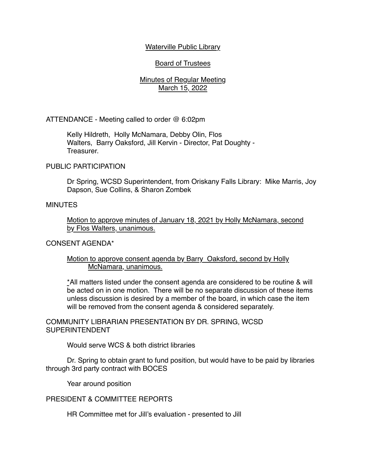## Waterville Public Library

# Board of Trustees

# Minutes of Regular Meeting March 15, 2022

ATTENDANCE - Meeting called to order @ 6:02pm

Kelly Hildreth, Holly McNamara, Debby Olin, Flos Walters, Barry Oaksford, Jill Kervin - Director, Pat Doughty - Treasurer.

### PUBLIC PARTICIPATION

Dr Spring, WCSD Superintendent, from Oriskany Falls Library: Mike Marris, Joy Dapson, Sue Collins, & Sharon Zombek

#### MINUTES

Motion to approve minutes of January 18, 2021 by Holly McNamara, second by Flos Walters, unanimous.

#### CONSENT AGENDA\*

### Motion to approve consent agenda by Barry Oaksford, second by Holly McNamara, unanimous.

\*All matters listed under the consent agenda are considered to be routine & will be acted on in one motion. There will be no separate discussion of these items unless discussion is desired by a member of the board, in which case the item will be removed from the consent agenda & considered separately.

COMMUNITY LIBRARIAN PRESENTATION BY DR. SPRING, WCSD SUPERINTENDENT

Would serve WCS & both district libraries

Dr. Spring to obtain grant to fund position, but would have to be paid by libraries through 3rd party contract with BOCES

Year around position

## PRESIDENT & COMMITTEE REPORTS

HR Committee met for Jill's evaluation - presented to Jill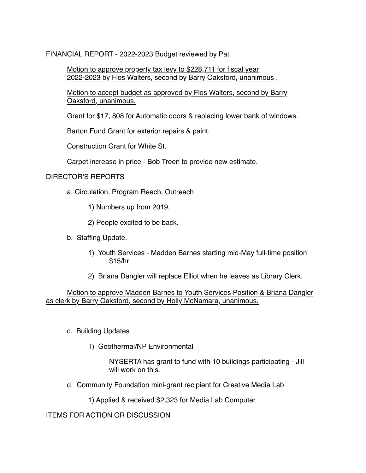FINANCIAL REPORT - 2022-2023 Budget reviewed by Pat

Motion to approve property tax levy to \$228,711 for fiscal year 2022-2023 by Flos Walters, second by Barry Oaksford, unanimous .

Motion to accept budget as approved by Flos Walters, second by Barry Oaksford, unanimous.

Grant for \$17, 808 for Automatic doors & replacing lower bank of windows.

Barton Fund Grant for exterior repairs & paint.

Construction Grant for White St.

Carpet increase in price - Bob Treen to provide new estimate.

# DIRECTOR'S REPORTS

a. Circulation, Program Reach, Outreach

1) Numbers up from 2019.

2) People excited to be back.

- b. Staffing Update.
	- 1) Youth Services Madden Barnes starting mid-May full-time position \$15/hr
	- 2) Briana Dangler will replace Elliot when he leaves as Library Clerk.

Motion to approve Madden Barnes to Youth Services Position & Briana Dangler as clerk by Barry Oaksford, second by Holly McNamara, unanimous.

- c. Building Updates
	- 1) Geothermal/NP Environmental

NYSERTA has grant to fund with 10 buildings participating - Jill will work on this.

d. Community Foundation mini-grant recipient for Creative Media Lab

1) Applied & received \$2,323 for Media Lab Computer

ITEMS FOR ACTION OR DISCUSSION